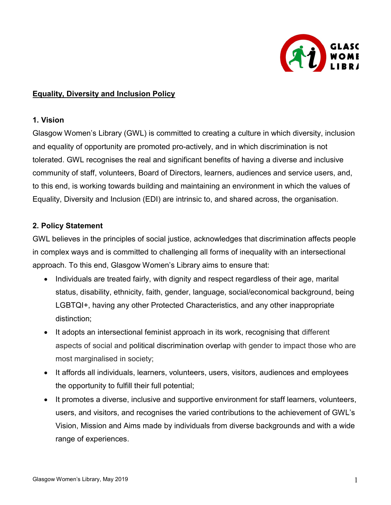

## Equality, Diversity and Inclusion Policy

#### 1. Vision

Glasgow Women's Library (GWL) is committed to creating a culture in which diversity, inclusion and equality of opportunity are promoted pro-actively, and in which discrimination is not tolerated. GWL recognises the real and significant benefits of having a diverse and inclusive community of staff, volunteers, Board of Directors, learners, audiences and service users, and, to this end, is working towards building and maintaining an environment in which the values of Equality, Diversity and Inclusion (EDI) are intrinsic to, and shared across, the organisation.

#### 2. Policy Statement

GWL believes in the principles of social justice, acknowledges that discrimination affects people in complex ways and is committed to challenging all forms of inequality with an intersectional approach. To this end, Glasgow Women's Library aims to ensure that:

- Individuals are treated fairly, with dignity and respect regardless of their age, marital status, disability, ethnicity, faith, gender, language, social/economical background, being LGBTQI+, having any other Protected Characteristics, and any other inappropriate distinction;
- It adopts an intersectional feminist approach in its work, recognising that different aspects of social and political discrimination overlap with gender to impact those who are most marginalised in society;
- It affords all individuals, learners, volunteers, users, visitors, audiences and employees the opportunity to fulfill their full potential;
- It promotes a diverse, inclusive and supportive environment for staff learners, volunteers, users, and visitors, and recognises the varied contributions to the achievement of GWL's Vision, Mission and Aims made by individuals from diverse backgrounds and with a wide range of experiences.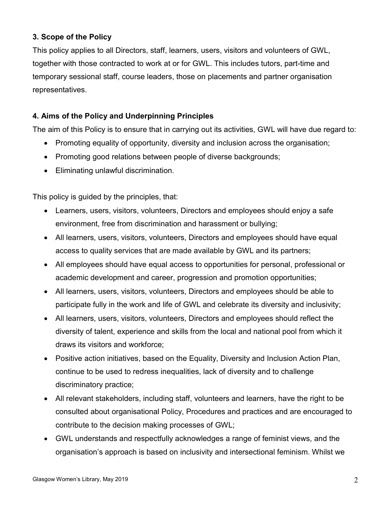# 3. Scope of the Policy

This policy applies to all Directors, staff, learners, users, visitors and volunteers of GWL, together with those contracted to work at or for GWL. This includes tutors, part-time and temporary sessional staff, course leaders, those on placements and partner organisation representatives.

### 4. Aims of the Policy and Underpinning Principles

The aim of this Policy is to ensure that in carrying out its activities, GWL will have due regard to:

- Promoting equality of opportunity, diversity and inclusion across the organisation;
- Promoting good relations between people of diverse backgrounds;
- Eliminating unlawful discrimination.

This policy is guided by the principles, that:

- Learners, users, visitors, volunteers, Directors and employees should enjoy a safe environment, free from discrimination and harassment or bullying;
- All learners, users, visitors, volunteers, Directors and employees should have equal access to quality services that are made available by GWL and its partners;
- All employees should have equal access to opportunities for personal, professional or academic development and career, progression and promotion opportunities;
- All learners, users, visitors, volunteers, Directors and employees should be able to participate fully in the work and life of GWL and celebrate its diversity and inclusivity;
- All learners, users, visitors, volunteers, Directors and employees should reflect the diversity of talent, experience and skills from the local and national pool from which it draws its visitors and workforce;
- Positive action initiatives, based on the Equality, Diversity and Inclusion Action Plan, continue to be used to redress inequalities, lack of diversity and to challenge discriminatory practice;
- All relevant stakeholders, including staff, volunteers and learners, have the right to be consulted about organisational Policy, Procedures and practices and are encouraged to contribute to the decision making processes of GWL;
- GWL understands and respectfully acknowledges a range of feminist views, and the organisation's approach is based on inclusivity and intersectional feminism. Whilst we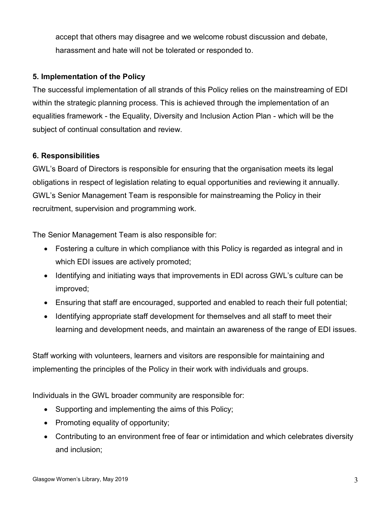accept that others may disagree and we welcome robust discussion and debate, harassment and hate will not be tolerated or responded to.

### 5. Implementation of the Policy

The successful implementation of all strands of this Policy relies on the mainstreaming of EDI within the strategic planning process. This is achieved through the implementation of an equalities framework - the Equality, Diversity and Inclusion Action Plan - which will be the subject of continual consultation and review.

### 6. Responsibilities

GWL's Board of Directors is responsible for ensuring that the organisation meets its legal obligations in respect of legislation relating to equal opportunities and reviewing it annually. GWL's Senior Management Team is responsible for mainstreaming the Policy in their recruitment, supervision and programming work.

The Senior Management Team is also responsible for:

- Fostering a culture in which compliance with this Policy is regarded as integral and in which EDI issues are actively promoted;
- Identifying and initiating ways that improvements in EDI across GWL's culture can be improved;
- Ensuring that staff are encouraged, supported and enabled to reach their full potential;
- Identifying appropriate staff development for themselves and all staff to meet their learning and development needs, and maintain an awareness of the range of EDI issues.

Staff working with volunteers, learners and visitors are responsible for maintaining and implementing the principles of the Policy in their work with individuals and groups.

Individuals in the GWL broader community are responsible for:

- Supporting and implementing the aims of this Policy;
- Promoting equality of opportunity;
- Contributing to an environment free of fear or intimidation and which celebrates diversity and inclusion;